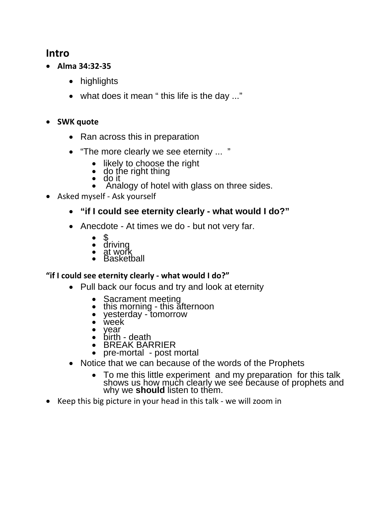### **Intro**

- **Alma 34:32‐35**
	- highlights
	- what does it mean " this life is the day ..."
- **SWK quote**
	- Ran across this in preparation
	- "The more clearly we see eternity ... "
		- likely to choose the right
		- do the right thing
		- do it
		- Analogy of hotel with glass on three sides.
- Asked myself Ask yourself

#### **"if I could see eternity clearly - what would I do?"**

- Anecdote At times we do but not very far.
	- $\bullet$  \$
	- driving
	- $\bullet$  at work
	- Basketball

#### **"if I could see eternity clearly ‐ what would I do?"**

- Pull back our focus and try and look at eternity
	- Sacrament meeting
	- this morning this afternoon
	- yesterday tomorrow
	- week<br>• vear
	- year<br>• birth
	- birth death BREAK BARRIER
	- pre-mortal post mortal
- Notice that we can because of the words of the Prophets
	- To me this little experiment and my preparation for this talk shows us how much clearly we see because of prophets and why we **should** listen to them.
- Keep this big picture in your head in this talk we will zoom in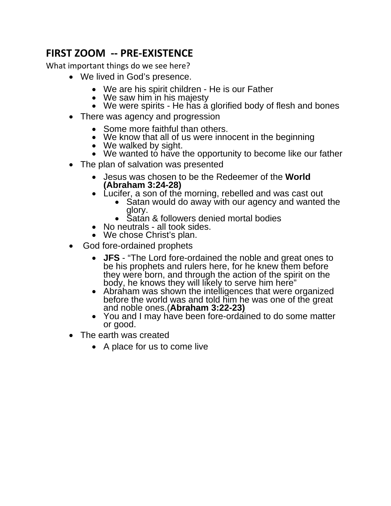# **FIRST ZOOM ‐‐ PRE‐EXISTENCE**

What important things do we see here?

- We lived in God's presence.
	- We are his spirit children He is our Father
	- We saw him in his majesty
	- $\bullet$  We were spirits He has a glorified body of flesh and bones
- There was agency and progression
	- Some more faithful than others.
	- We know that all of us were innocent in the beginning
	- We walked by sight.
	- We wanted to have the opportunity to become like our father
- The plan of salvation was presented
	- Jesus was chosen to be the Redeemer of the **World (Abraham 3:24-28)**
	- Lucifer, a son of the morning, rebelled and was cast out
		- Satan would do away with our agency and wanted the glory.
		- Satan & followers denied mortal bodies
	- No neutrals all took sides.
	- We chose Christ's plan.
- God fore-ordained prophets
	- **JFS** "The Lord fore-ordained the noble and great ones to be his prophets and rulers here, for he knew them before they were born, and through the action of the spirit on the body, he knows they will likely to serve him here" abraham was shown the intelligences that were organized
	- before the world was and told him he was one of the great and noble ones.(**Abraham 3:22-23)**
	- You and I may have been fore-ordained to do some matter or good.
- The earth was created
	- A place for us to come live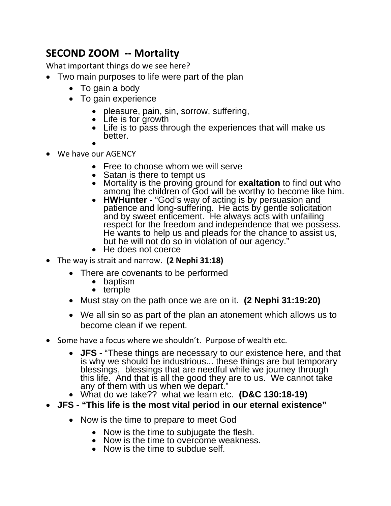# **SECOND ZOOM ‐‐ Mortality**

What important things do we see here?

- Two main purposes to life were part of the plan
	- To gain a body
	- To gain experience
		- pleasure, pain, sin, sorrow, suffering,
		- Life is for growth
		- Life is to pass through the experiences that will make us better.
		- $\bullet$
- We have our AGENCY
	- Free to choose whom we will serve
	- Satan is there to tempt us
	- Mortality is the proving ground for **exaltation** to find out who among the children of God will be worthy to become like him.
	- **HWHunter** "God's way of acting is by persuasion and patience and long-suffering. He acts by gentle solicitation and by sweet enticement. He always acts with unfailing respect for the freedom and independence that we possess. He wants to help us and pleads for the chance to assist us, but he will not do so in violation of our agency."
	- He does not coerce
- The way is strait and narrow. **(2 Nephi 31:18)**
	- There are covenants to be performed
		- baptism
		- temple
	- Must stay on the path once we are on it. **(2 Nephi 31:19:20)**
	- We all sin so as part of the plan an atonement which allows us to become clean if we repent.
- Some have a focus where we shouldn't. Purpose of wealth etc.
	- **JFS** "These things are necessary to our existence here, and that is why we should be industrious... these things are but temporary blessings, blessings that are needful while we journey through<br>this life. And that is all the good they are to us. We cannot take<br>any of them with us when we depart."
	- What do we take?? what we learn etc. **(D&C 130:18-19)**
- **JFS "This life is the most vital period in our eternal existence"**
	- Now is the time to prepare to meet God
		- Now is the time to subjugate the flesh.
		- Now is the time to overcome weakness.
		- Now is the time to subdue self.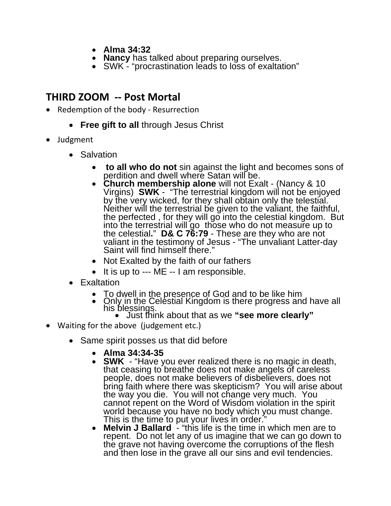- **Alma 34:32**
- **Nancy** has talked about preparing ourselves.
- SWK "procrastination leads to loss of exaltation"

### **THIRD ZOOM ‐‐ Post Mortal**

- Redemption of the body Resurrection
	- **Free gift to all** through Jesus Christ
- Judgment
	- Salvation
		- **to all who do not** sin against the light and becomes sons of perdition and dwell where Satan will be.
		- Virgins) **SWK** "The terrestrial kingdom will not be enjoyed<br>by the very wicked, for they shall obtain only the telestial.<br>Neither will the terrestrial be given to the valiant, the faithful,<br>the perfected, for they will g into the terrestrial will go those who do not measure up to the celestial." D& C 76:79 - These are they who are not valiant in the testimony of Jesus - "The unvaliant Latter-day Saint will find himself there."
		- Not Exalted by the faith of our fathers
		- It is up to --- ME -- I am responsible.
	- Exaltation
		- To dwell in the presence of God and to be like him
		- Only in the Celestial Kingdom is there progress and have all his blessings. his blessings.<br>• Just think about that as we "see more clearly"
			-
- Waiting for the above (judgement etc.)
	- Same spirit posses us that did before
		- **Alma 34:34-35**
		- **SWK** "Have you ever realized there is no magic in death, that ceasing to breathe does not make angels of careless people, does not make believers of disbelievers, does not bring faith where there was skepticism? You will arise about the way you die. You will not change very much. You cannot repent on the Word of Wisdom violation in the spirit world because you have no body which you must change. This is the time to put your lives in order."
		- **Melvin J Ballard** "this life is the time in which men are to repent. Do not let any of us imagine that we can go down to the grave not having overcome the corruptions of the flesh and then lose in the grave all our sins and evil tendencies.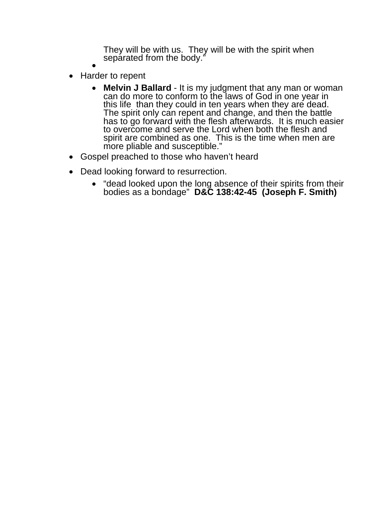They will be with us. They will be with the spirit when separated from the body."

- $\bullet$ • Harder to repent
	- **Melvin J Ballard** It is my judgment that any man or woman can do more to conform to the laws of God in one year in this life than they could in ten years when they are dead. The spirit only can repent and change, and has to go forward with the flesh afterwards. It is much easier to overcome and serve the Lord when both the flesh and spirit are combined as one. This is the time when men are more pliable and susceptible."
- Gospel preached to those who haven't heard
- Dead looking forward to resurrection.
	- "dead looked upon the long absence of their spirits from their bodies as a bondage" **D&C 138:42-45 (Joseph F. Smith)**